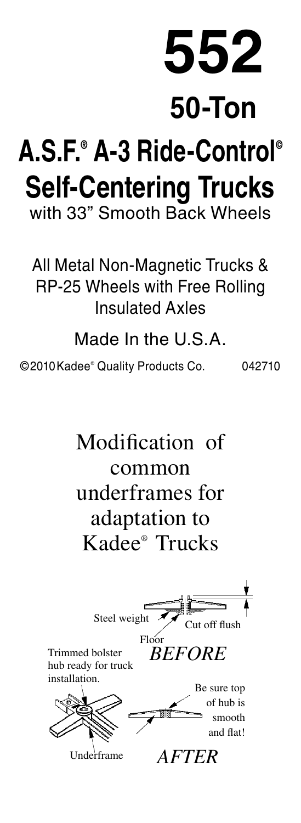**552**

## **50-Ton**

## **A.S.F.® A-3 Ride-Control© Self-Centering Trucks** with 33" Smooth Back Wheels

All Metal Non-Magnetic Trucks & RP-25 Wheels with Free Rolling Insulated Axles

Made In the U.S.A.

©2010Kadee® Quality Products Co. 042710

Modification of common underframes for adaptation to Kadee® Trucks